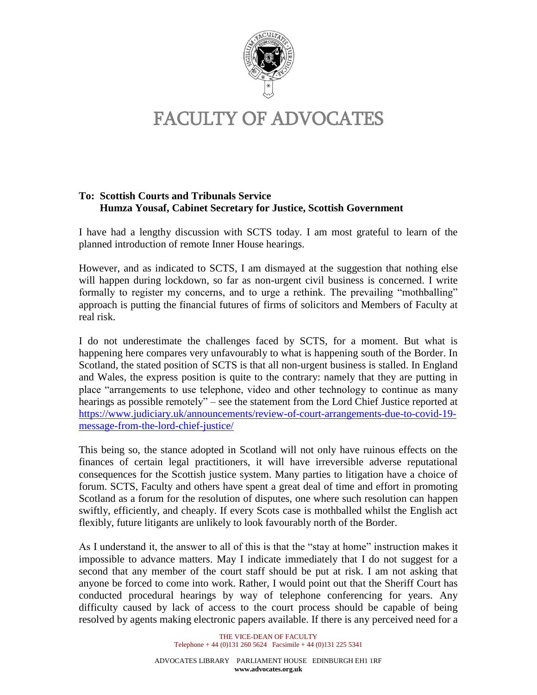

## FACULTY OF ADVOCATES

## **To: Scottish Courts and Tribunals Service Humza Yousaf, Cabinet Secretary for Justice, Scottish Government**

I have had a lengthy discussion with SCTS today. I am most grateful to learn of the planned introduction of remote Inner House hearings.

However, and as indicated to SCTS, I am dismayed at the suggestion that nothing else will happen during lockdown, so far as non-urgent civil business is concerned. I write formally to register my concerns, and to urge a rethink. The prevailing "mothballing" approach is putting the financial futures of firms of solicitors and Members of Faculty at real risk.

I do not underestimate the challenges faced by SCTS, for a moment. But what is happening here compares very unfavourably to what is happening south of the Border. In Scotland, the stated position of SCTS is that all non-urgent business is stalled. In England and Wales, the express position is quite to the contrary: namely that they are putting in place "arrangements to use telephone, video and other technology to continue as many hearings as possible remotely" – see the statement from the Lord Chief Justice reported at [https://www.judiciary.uk/announcements/review-of-court-arrangements-due-to-covid-19](https://www.judiciary.uk/announcements/review-of-court-arrangements-due-to-covid-19-message-from-the-lord-chief-justice/) [message-from-the-lord-chief-justice/](https://www.judiciary.uk/announcements/review-of-court-arrangements-due-to-covid-19-message-from-the-lord-chief-justice/)

This being so, the stance adopted in Scotland will not only have ruinous effects on the finances of certain legal practitioners, it will have irreversible adverse reputational consequences for the Scottish justice system. Many parties to litigation have a choice of forum. SCTS, Faculty and others have spent a great deal of time and effort in promoting Scotland as a forum for the resolution of disputes, one where such resolution can happen swiftly, efficiently, and cheaply. If every Scots case is mothballed whilst the English act flexibly, future litigants are unlikely to look favourably north of the Border.

As I understand it, the answer to all of this is that the "stay at home" instruction makes it impossible to advance matters. May I indicate immediately that I do not suggest for a second that any member of the court staff should be put at risk. I am not asking that anyone be forced to come into work. Rather, I would point out that the Sheriff Court has conducted procedural hearings by way of telephone conferencing for years. Any difficulty caused by lack of access to the court process should be capable of being resolved by agents making electronic papers available. If there is any perceived need for a